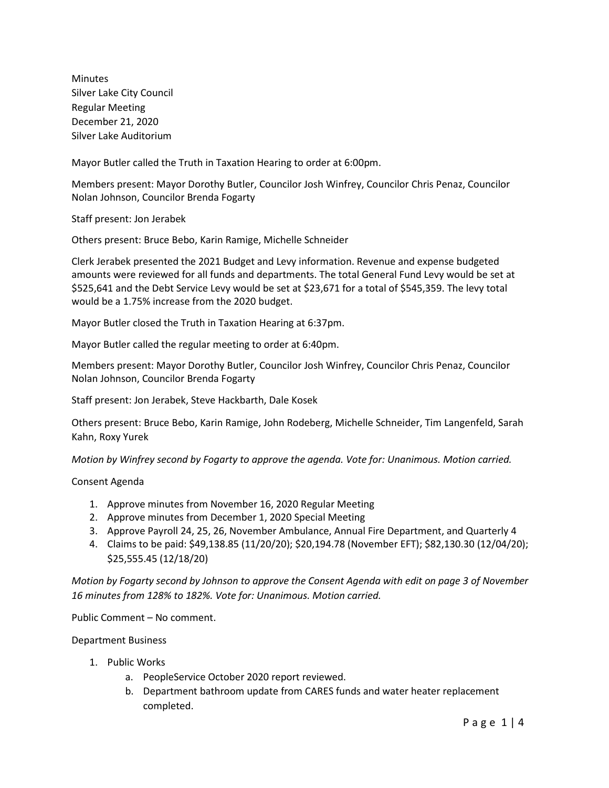Minutes Silver Lake City Council Regular Meeting December 21, 2020 Silver Lake Auditorium

Mayor Butler called the Truth in Taxation Hearing to order at 6:00pm.

Members present: Mayor Dorothy Butler, Councilor Josh Winfrey, Councilor Chris Penaz, Councilor Nolan Johnson, Councilor Brenda Fogarty

Staff present: Jon Jerabek

Others present: Bruce Bebo, Karin Ramige, Michelle Schneider

Clerk Jerabek presented the 2021 Budget and Levy information. Revenue and expense budgeted amounts were reviewed for all funds and departments. The total General Fund Levy would be set at \$525,641 and the Debt Service Levy would be set at \$23,671 for a total of \$545,359. The levy total would be a 1.75% increase from the 2020 budget.

Mayor Butler closed the Truth in Taxation Hearing at 6:37pm.

Mayor Butler called the regular meeting to order at 6:40pm.

Members present: Mayor Dorothy Butler, Councilor Josh Winfrey, Councilor Chris Penaz, Councilor Nolan Johnson, Councilor Brenda Fogarty

Staff present: Jon Jerabek, Steve Hackbarth, Dale Kosek

Others present: Bruce Bebo, Karin Ramige, John Rodeberg, Michelle Schneider, Tim Langenfeld, Sarah Kahn, Roxy Yurek

*Motion by Winfrey second by Fogarty to approve the agenda. Vote for: Unanimous. Motion carried.*

Consent Agenda

- 1. Approve minutes from November 16, 2020 Regular Meeting
- 2. Approve minutes from December 1, 2020 Special Meeting
- 3. Approve Payroll 24, 25, 26, November Ambulance, Annual Fire Department, and Quarterly 4
- 4. Claims to be paid: \$49,138.85 (11/20/20); \$20,194.78 (November EFT); \$82,130.30 (12/04/20); \$25,555.45 (12/18/20)

*Motion by Fogarty second by Johnson to approve the Consent Agenda with edit on page 3 of November 16 minutes from 128% to 182%. Vote for: Unanimous. Motion carried.*

Public Comment – No comment.

Department Business

- 1. Public Works
	- a. PeopleService October 2020 report reviewed.
	- b. Department bathroom update from CARES funds and water heater replacement completed.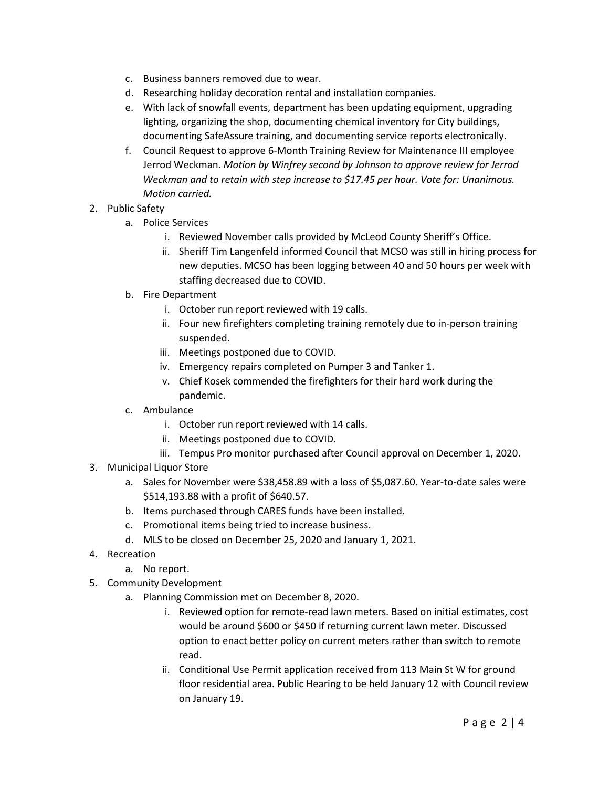- c. Business banners removed due to wear.
- d. Researching holiday decoration rental and installation companies.
- e. With lack of snowfall events, department has been updating equipment, upgrading lighting, organizing the shop, documenting chemical inventory for City buildings, documenting SafeAssure training, and documenting service reports electronically.
- f. Council Request to approve 6-Month Training Review for Maintenance III employee Jerrod Weckman. *Motion by Winfrey second by Johnson to approve review for Jerrod Weckman and to retain with step increase to \$17.45 per hour. Vote for: Unanimous. Motion carried.*
- 2. Public Safety
	- a. Police Services
		- i. Reviewed November calls provided by McLeod County Sheriff's Office.
		- ii. Sheriff Tim Langenfeld informed Council that MCSO was still in hiring process for new deputies. MCSO has been logging between 40 and 50 hours per week with staffing decreased due to COVID.
	- b. Fire Department
		- i. October run report reviewed with 19 calls.
		- ii. Four new firefighters completing training remotely due to in-person training suspended.
		- iii. Meetings postponed due to COVID.
		- iv. Emergency repairs completed on Pumper 3 and Tanker 1.
		- v. Chief Kosek commended the firefighters for their hard work during the pandemic.
	- c. Ambulance
		- i. October run report reviewed with 14 calls.
		- ii. Meetings postponed due to COVID.
		- iii. Tempus Pro monitor purchased after Council approval on December 1, 2020.
- 3. Municipal Liquor Store
	- a. Sales for November were \$38,458.89 with a loss of \$5,087.60. Year-to-date sales were \$514,193.88 with a profit of \$640.57.
	- b. Items purchased through CARES funds have been installed.
	- c. Promotional items being tried to increase business.
	- d. MLS to be closed on December 25, 2020 and January 1, 2021.
- 4. Recreation
	- a. No report.
- 5. Community Development
	- a. Planning Commission met on December 8, 2020.
		- i. Reviewed option for remote-read lawn meters. Based on initial estimates, cost would be around \$600 or \$450 if returning current lawn meter. Discussed option to enact better policy on current meters rather than switch to remote read.
		- ii. Conditional Use Permit application received from 113 Main St W for ground floor residential area. Public Hearing to be held January 12 with Council review on January 19.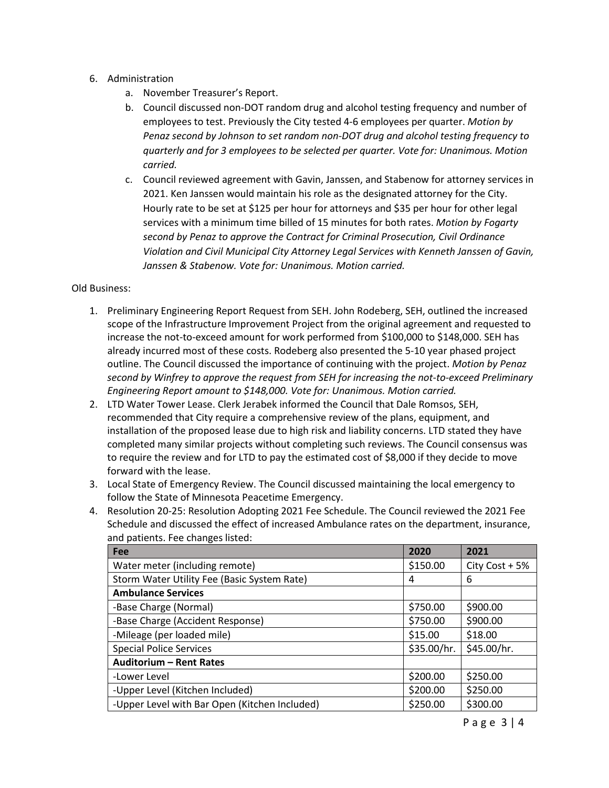- 6. Administration
	- a. November Treasurer's Report.
	- b. Council discussed non-DOT random drug and alcohol testing frequency and number of employees to test. Previously the City tested 4-6 employees per quarter. *Motion by Penaz second by Johnson to set random non-DOT drug and alcohol testing frequency to quarterly and for 3 employees to be selected per quarter. Vote for: Unanimous. Motion carried.*
	- c. Council reviewed agreement with Gavin, Janssen, and Stabenow for attorney services in 2021. Ken Janssen would maintain his role as the designated attorney for the City. Hourly rate to be set at \$125 per hour for attorneys and \$35 per hour for other legal services with a minimum time billed of 15 minutes for both rates. *Motion by Fogarty second by Penaz to approve the Contract for Criminal Prosecution, Civil Ordinance Violation and Civil Municipal City Attorney Legal Services with Kenneth Janssen of Gavin, Janssen & Stabenow. Vote for: Unanimous. Motion carried.*

#### Old Business:

- 1. Preliminary Engineering Report Request from SEH. John Rodeberg, SEH, outlined the increased scope of the Infrastructure Improvement Project from the original agreement and requested to increase the not-to-exceed amount for work performed from \$100,000 to \$148,000. SEH has already incurred most of these costs. Rodeberg also presented the 5-10 year phased project outline. The Council discussed the importance of continuing with the project. *Motion by Penaz second by Winfrey to approve the request from SEH for increasing the not-to-exceed Preliminary Engineering Report amount to \$148,000. Vote for: Unanimous. Motion carried.*
- 2. LTD Water Tower Lease. Clerk Jerabek informed the Council that Dale Romsos, SEH, recommended that City require a comprehensive review of the plans, equipment, and installation of the proposed lease due to high risk and liability concerns. LTD stated they have completed many similar projects without completing such reviews. The Council consensus was to require the review and for LTD to pay the estimated cost of \$8,000 if they decide to move forward with the lease.
- 3. Local State of Emergency Review. The Council discussed maintaining the local emergency to follow the State of Minnesota Peacetime Emergency.
- 4. Resolution 20-25: Resolution Adopting 2021 Fee Schedule. The Council reviewed the 2021 Fee Schedule and discussed the effect of increased Ambulance rates on the department, insurance, and patients. Fee changes listed:

| Fee                                           | 2020        | 2021           |
|-----------------------------------------------|-------------|----------------|
| Water meter (including remote)                | \$150.00    | City Cost + 5% |
| Storm Water Utility Fee (Basic System Rate)   | 4           | 6              |
| <b>Ambulance Services</b>                     |             |                |
| -Base Charge (Normal)                         | \$750.00    | \$900.00       |
| -Base Charge (Accident Response)              | \$750.00    | \$900.00       |
| -Mileage (per loaded mile)                    | \$15.00     | \$18.00        |
| <b>Special Police Services</b>                | \$35.00/hr. | \$45.00/hr.    |
| <b>Auditorium - Rent Rates</b>                |             |                |
| -Lower Level                                  | \$200.00    | \$250.00       |
| -Upper Level (Kitchen Included)               | \$200.00    | \$250.00       |
| -Upper Level with Bar Open (Kitchen Included) | \$250.00    | \$300.00       |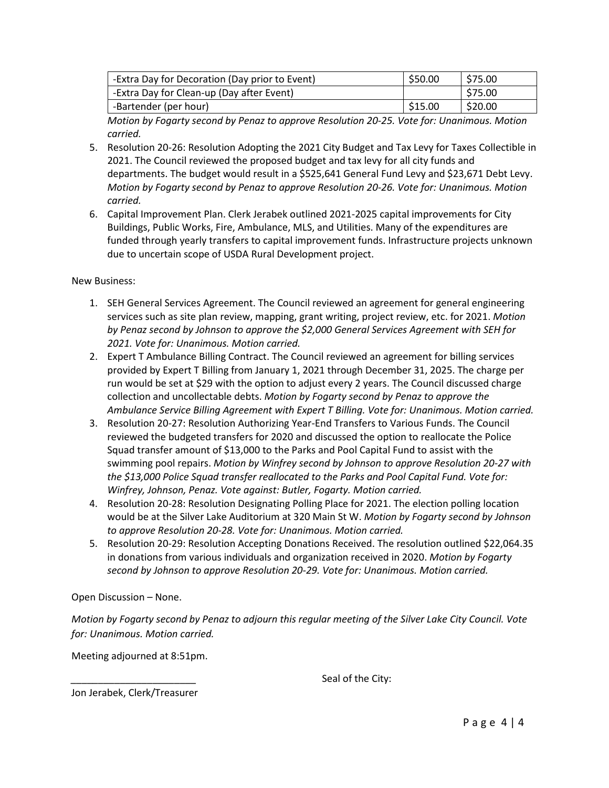| -Extra Day for Decoration (Day prior to Event) | \$50.00   | \$75.00 |
|------------------------------------------------|-----------|---------|
| -Extra Day for Clean-up (Day after Event)      |           | \$75.00 |
| -Bartender (per hour)                          | l \$15.00 | \$20.00 |

*Motion by Fogarty second by Penaz to approve Resolution 20-25. Vote for: Unanimous. Motion carried.* 

- 5. Resolution 20-26: Resolution Adopting the 2021 City Budget and Tax Levy for Taxes Collectible in 2021. The Council reviewed the proposed budget and tax levy for all city funds and departments. The budget would result in a \$525,641 General Fund Levy and \$23,671 Debt Levy. *Motion by Fogarty second by Penaz to approve Resolution 20-26. Vote for: Unanimous. Motion carried.*
- 6. Capital Improvement Plan. Clerk Jerabek outlined 2021-2025 capital improvements for City Buildings, Public Works, Fire, Ambulance, MLS, and Utilities. Many of the expenditures are funded through yearly transfers to capital improvement funds. Infrastructure projects unknown due to uncertain scope of USDA Rural Development project.

New Business:

- 1. SEH General Services Agreement. The Council reviewed an agreement for general engineering services such as site plan review, mapping, grant writing, project review, etc. for 2021. *Motion by Penaz second by Johnson to approve the \$2,000 General Services Agreement with SEH for 2021. Vote for: Unanimous. Motion carried.*
- 2. Expert T Ambulance Billing Contract. The Council reviewed an agreement for billing services provided by Expert T Billing from January 1, 2021 through December 31, 2025. The charge per run would be set at \$29 with the option to adjust every 2 years. The Council discussed charge collection and uncollectable debts. *Motion by Fogarty second by Penaz to approve the Ambulance Service Billing Agreement with Expert T Billing. Vote for: Unanimous. Motion carried.*
- 3. Resolution 20-27: Resolution Authorizing Year-End Transfers to Various Funds. The Council reviewed the budgeted transfers for 2020 and discussed the option to reallocate the Police Squad transfer amount of \$13,000 to the Parks and Pool Capital Fund to assist with the swimming pool repairs. *Motion by Winfrey second by Johnson to approve Resolution 20-27 with the \$13,000 Police Squad transfer reallocated to the Parks and Pool Capital Fund. Vote for: Winfrey, Johnson, Penaz. Vote against: Butler, Fogarty. Motion carried.*
- 4. Resolution 20-28: Resolution Designating Polling Place for 2021. The election polling location would be at the Silver Lake Auditorium at 320 Main St W. *Motion by Fogarty second by Johnson to approve Resolution 20-28. Vote for: Unanimous. Motion carried.*
- 5. Resolution 20-29: Resolution Accepting Donations Received. The resolution outlined \$22,064.35 in donations from various individuals and organization received in 2020. *Motion by Fogarty second by Johnson to approve Resolution 20-29. Vote for: Unanimous. Motion carried.*

Open Discussion – None.

*Motion by Fogarty second by Penaz to adjourn this regular meeting of the Silver Lake City Council. Vote for: Unanimous. Motion carried.*

Meeting adjourned at 8:51pm.

Seal of the City:

Jon Jerabek, Clerk/Treasurer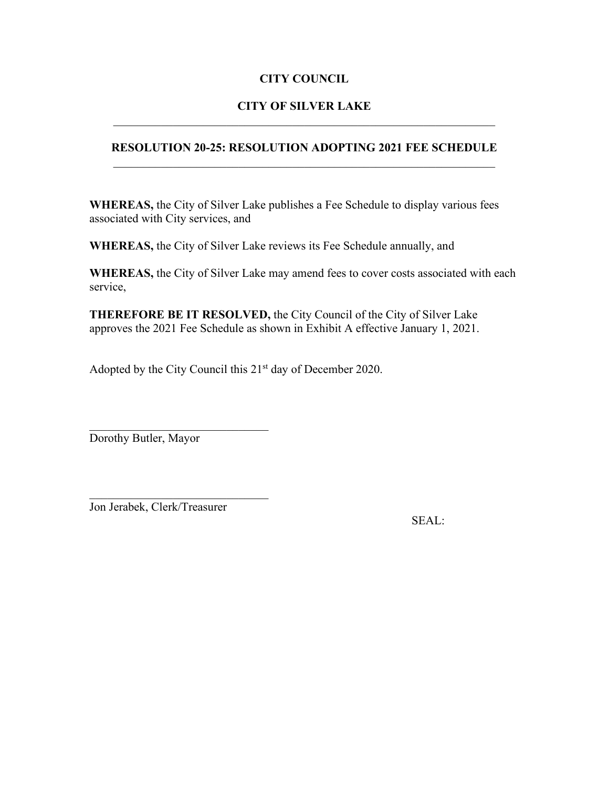### **CITY OF SILVER LAKE** \_\_\_\_\_\_\_\_\_\_\_\_\_\_\_\_\_\_\_\_\_\_\_\_\_\_\_\_\_\_\_\_\_\_\_\_\_\_\_\_\_\_\_\_\_\_\_\_\_\_\_\_\_\_\_\_\_\_\_\_\_\_\_\_

### **RESOLUTION 20-25: RESOLUTION ADOPTING 2021 FEE SCHEDULE**   $\mathcal{L}_\text{max} = \mathcal{L}_\text{max} = \mathcal{L}_\text{max} = \mathcal{L}_\text{max} = \mathcal{L}_\text{max} = \mathcal{L}_\text{max} = \mathcal{L}_\text{max} = \mathcal{L}_\text{max} = \mathcal{L}_\text{max} = \mathcal{L}_\text{max} = \mathcal{L}_\text{max} = \mathcal{L}_\text{max} = \mathcal{L}_\text{max} = \mathcal{L}_\text{max} = \mathcal{L}_\text{max} = \mathcal{L}_\text{max} = \mathcal{L}_\text{max} = \mathcal{L}_\text{max} = \mathcal{$

**WHEREAS,** the City of Silver Lake publishes a Fee Schedule to display various fees associated with City services, and

**WHEREAS,** the City of Silver Lake reviews its Fee Schedule annually, and

**WHEREAS,** the City of Silver Lake may amend fees to cover costs associated with each service,

**THEREFORE BE IT RESOLVED,** the City Council of the City of Silver Lake approves the 2021 Fee Schedule as shown in Exhibit A effective January 1, 2021.

Adopted by the City Council this  $21<sup>st</sup>$  day of December 2020.

\_\_\_\_\_\_\_\_\_\_\_\_\_\_\_\_\_\_\_\_\_\_\_\_\_\_\_\_\_\_ Dorothy Butler, Mayor

Jon Jerabek, Clerk/Treasurer

\_\_\_\_\_\_\_\_\_\_\_\_\_\_\_\_\_\_\_\_\_\_\_\_\_\_\_\_\_\_

SEAL: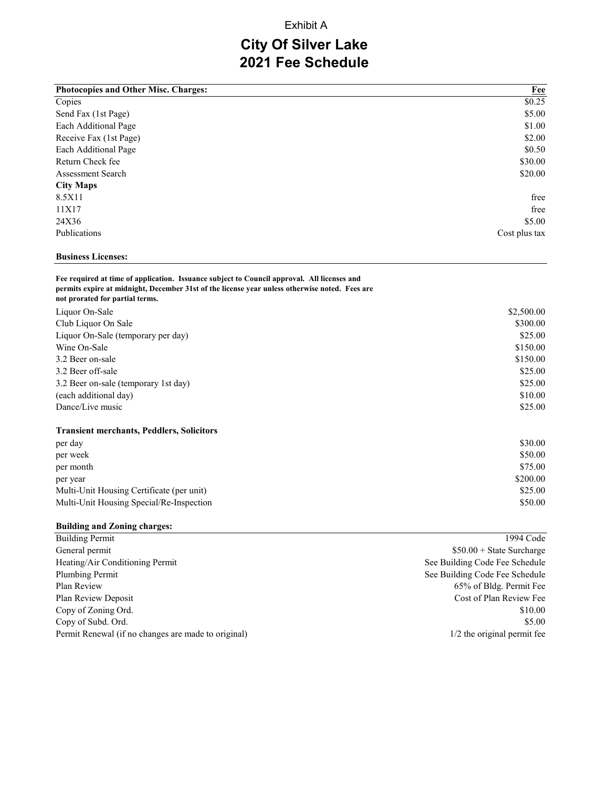#### Exhibit A

# **City Of Silver Lake 2021 Fee Schedule**

| <b>Photocopies and Other Misc. Charges:</b> | $Fee$         |
|---------------------------------------------|---------------|
| Copies                                      | \$0.25        |
| Send Fax (1st Page)                         | \$5.00        |
| Each Additional Page                        | \$1.00        |
| Receive Fax (1st Page)                      | \$2.00        |
| Each Additional Page                        | \$0.50        |
| Return Check fee                            | \$30.00       |
| <b>Assessment Search</b>                    | \$20.00       |
| <b>City Maps</b>                            |               |
| 8.5X11                                      | free          |
| 11X17                                       | free          |
| 24X36                                       | \$5.00        |
| Publications                                | Cost plus tax |

#### **Business Licenses:**

#### **Fee required at time of application. Issuance subject to Council approval. All licenses and permits expire at midnight, December 31st of the license year unless otherwise noted. Fees are not prorated for partial terms.**

| Liquor On-Sale                                   | \$2,500.00 |
|--------------------------------------------------|------------|
| Club Liquor On Sale                              | \$300.00   |
| Liquor On-Sale (temporary per day)               | \$25.00    |
| Wine On-Sale                                     | \$150.00   |
| 3.2 Beer on-sale                                 | \$150.00   |
| 3.2 Beer off-sale                                | \$25.00    |
| 3.2 Beer on-sale (temporary 1st day)             | \$25.00    |
| (each additional day)                            | \$10.00    |
| Dance/Live music                                 | \$25.00    |
| <b>Transient merchants, Peddlers, Solicitors</b> |            |
| per day                                          | \$30.00    |
| per week                                         | \$50.00    |
| per month                                        | \$75.00    |
| per year                                         | \$200.00   |

#### **Building and Zoning charges:**

| <b>Building Permit</b>                              | 1994 Code                      |
|-----------------------------------------------------|--------------------------------|
| General permit                                      | $$50.00 + State Survey$        |
| Heating/Air Conditioning Permit                     | See Building Code Fee Schedule |
| Plumbing Permit                                     | See Building Code Fee Schedule |
| Plan Review                                         | 65% of Bldg. Permit Fee        |
| Plan Review Deposit                                 | Cost of Plan Review Fee        |
| Copy of Zoning Ord.                                 | \$10.00                        |
| Copy of Subd. Ord.                                  | \$5.00                         |
| Permit Renewal (if no changes are made to original) | 1/2 the original permit fee    |

Multi-Unit Housing Certificate (per unit) \$25.00 Multi-Unit Housing Special/Re-Inspection \$50.00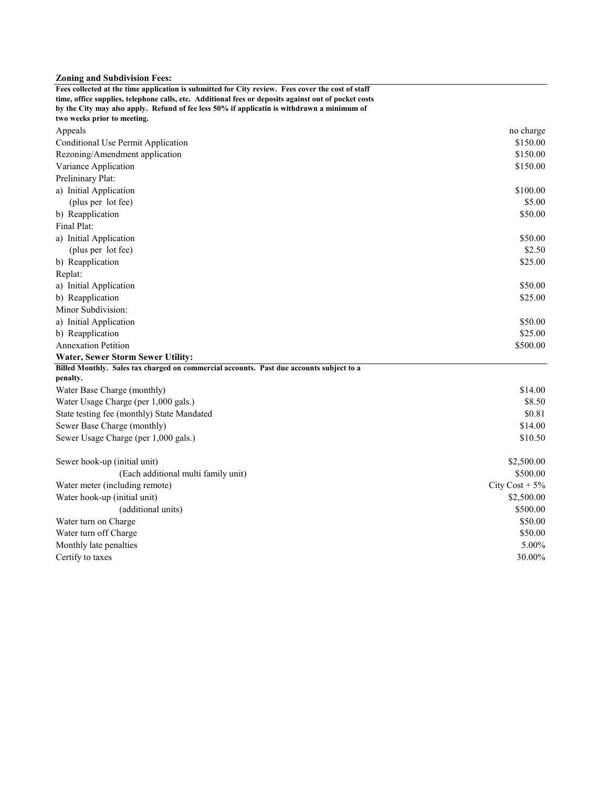#### **Zoning and Subdivision Fees:**

| Fees collected at the time application is submitted for City review. Fees cover the cost of staff                         |                       |
|---------------------------------------------------------------------------------------------------------------------------|-----------------------|
| time, office supplies, telephone calls, etc. Additional fees or deposits against out of pocket costs                      |                       |
| by the City may also apply. Refund of fee less 50% if applicatin is withdrawn a minimum of<br>two weeks prior to meeting. |                       |
|                                                                                                                           |                       |
| Appeals                                                                                                                   | no charge<br>\$150.00 |
| Conditional Use Permit Application                                                                                        | \$150.00              |
| Rezoning/Amendment application                                                                                            | \$150.00              |
| Variance Application                                                                                                      |                       |
| Prelininary Plat:                                                                                                         |                       |
| a) Initial Application                                                                                                    | \$100.00<br>\$5.00    |
| (plus per lot fee)                                                                                                        |                       |
| b) Reapplication                                                                                                          | \$50.00               |
| Final Plat:                                                                                                               |                       |
| a) Initial Application                                                                                                    | \$50.00               |
| (plus per lot fee)                                                                                                        | \$2.50                |
| b) Reapplication                                                                                                          | \$25.00               |
| Replat:                                                                                                                   |                       |
| a) Initial Application                                                                                                    | \$50.00               |
| b) Reapplication                                                                                                          | \$25.00               |
| Minor Subdivision:                                                                                                        |                       |
| a) Initial Application                                                                                                    | \$50.00               |
| b) Reapplication                                                                                                          | \$25.00               |
| <b>Annexation Petition</b>                                                                                                | \$500.00              |
| Water, Sewer Storm Sewer Utility:                                                                                         |                       |
| Billed Monthly. Sales tax charged on commercial accounts. Past due accounts subject to a<br>penalty.                      |                       |
| Water Base Charge (monthly)                                                                                               | \$14.00               |
| Water Usage Charge (per 1,000 gals.)                                                                                      | \$8.50                |
| State testing fee (monthly) State Mandated                                                                                | \$0.81                |
| Sewer Base Charge (monthly)                                                                                               | \$14.00               |
| Sewer Usage Charge (per 1,000 gals.)                                                                                      | \$10.50               |
|                                                                                                                           |                       |
| Sewer hook-up (initial unit)                                                                                              | \$2,500.00            |
| (Each additional multi family unit)                                                                                       | \$500.00              |
| Water meter (including remote)                                                                                            | City $Cost + 5\%$     |
| Water hook-up (initial unit)                                                                                              | \$2,500.00            |
| (additional units)                                                                                                        | \$500.00              |
| Water turn on Charge                                                                                                      | \$50.00               |
| Water turn off Charge                                                                                                     | \$50.00               |
| Monthly late penalties                                                                                                    | 5.00%                 |
| Certify to taxes                                                                                                          | 30.00%                |
|                                                                                                                           |                       |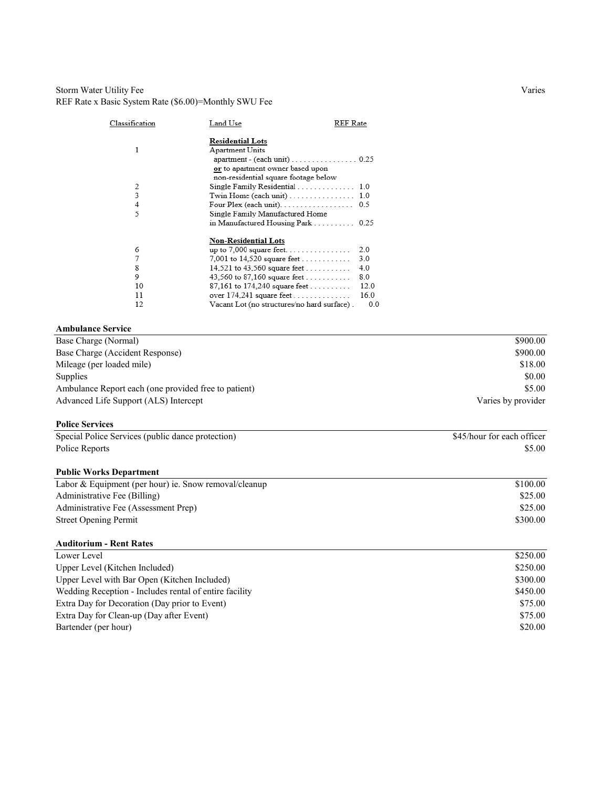#### Storm Water Utility Fee Varies REF Rate x Basic System Rate (\$6.00)=Monthly SWU Fee

| Classification | Land Use                                                                                    | REF Rate |
|----------------|---------------------------------------------------------------------------------------------|----------|
|                | <b>Residential Lots</b>                                                                     |          |
| 1              | Apartment Units                                                                             |          |
|                | $apartment - (each unit) \dots \dots \dots \dots \dots \dots \dots \dots \dots \dots \dots$ |          |
|                | or to apartment owner based upon                                                            |          |
|                | non-residential square footage below                                                        |          |
| 2              | Single Family Residential 1.0                                                               |          |
| 3              |                                                                                             |          |
| 4              | Four Plex (each unit). $\ldots$ . 0.5                                                       |          |
| 5              | Single Family Manufactured Home                                                             |          |
|                | in Manufactured Housing Park 0.25                                                           |          |
|                | <b>Non-Residential Lots</b>                                                                 |          |
| 6              | up to $7,000$ square feet                                                                   | 2.0      |
| 7              | 7,001 to 14,520 square feet                                                                 | 3.0      |
| 8              | 14,521 to 43,560 square feet                                                                | 4.0      |
| 9              | 43,560 to 87,160 square feet                                                                | 80       |
| 10             | 87,161 to 174,240 square feet                                                               | 12.0     |
| 11             |                                                                                             | 16.0     |
| 12             | Vacant Lot (no structures/no hard surface) .                                                | 0.0      |

#### **Ambulance Service**

| Base Charge (Normal)                                 | \$900.00           |
|------------------------------------------------------|--------------------|
| Base Charge (Accident Response)                      | \$900.00           |
| Mileage (per loaded mile)                            | \$18.00            |
| Supplies                                             | \$0.00             |
| Ambulance Report each (one provided free to patient) | \$5.00             |
| Advanced Life Support (ALS) Intercept                | Varies by provider |
|                                                      |                    |

#### **Police Services**

| Special Police Services (public dance protection) | \$45/hour for each officer |
|---------------------------------------------------|----------------------------|
| Police Reports                                    | \$5.00                     |

#### **Public Works Department**

| Labor & Equipment (per hour) ie. Snow removal/cleanup | \$100.00 |
|-------------------------------------------------------|----------|
| Administrative Fee (Billing)                          | \$25.00  |
| Administrative Fee (Assessment Prep)                  | \$25.00  |
| <b>Street Opening Permit</b>                          | \$300.00 |
|                                                       |          |

#### **Auditorium - Rent Rates**

| Lower Level                                            | \$250.00 |
|--------------------------------------------------------|----------|
| Upper Level (Kitchen Included)                         | \$250.00 |
| Upper Level with Bar Open (Kitchen Included)           | \$300.00 |
| Wedding Reception - Includes rental of entire facility | \$450.00 |
| Extra Day for Decoration (Day prior to Event)          | \$75.00  |
| Extra Day for Clean-up (Day after Event)               | \$75.00  |
| Bartender (per hour)                                   | \$20.00  |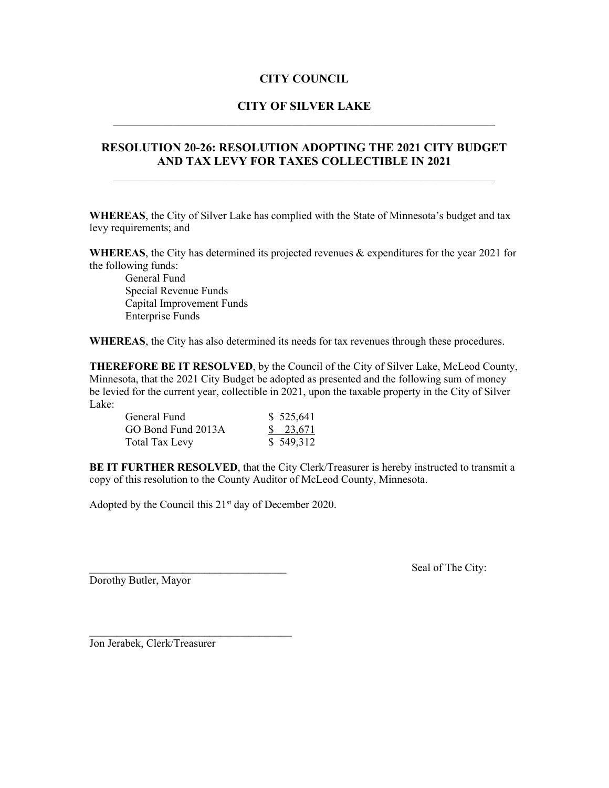### **CITY OF SILVER LAKE** \_\_\_\_\_\_\_\_\_\_\_\_\_\_\_\_\_\_\_\_\_\_\_\_\_\_\_\_\_\_\_\_\_\_\_\_\_\_\_\_\_\_\_\_\_\_\_\_\_\_\_\_\_\_\_\_\_\_\_\_\_\_\_\_

#### **RESOLUTION 20-26: RESOLUTION ADOPTING THE 2021 CITY BUDGET AND TAX LEVY FOR TAXES COLLECTIBLE IN 2021**

**WHEREAS**, the City of Silver Lake has complied with the State of Minnesota's budget and tax levy requirements; and

**WHEREAS**, the City has determined its projected revenues & expenditures for the year 2021 for the following funds:

General Fund Special Revenue Funds Capital Improvement Funds Enterprise Funds

**WHEREAS**, the City has also determined its needs for tax revenues through these procedures.

**THEREFORE BE IT RESOLVED**, by the Council of the City of Silver Lake, McLeod County, Minnesota, that the 2021 City Budget be adopted as presented and the following sum of money be levied for the current year, collectible in 2021, upon the taxable property in the City of Silver Lake:

| General Fund          | \$525,641 |
|-----------------------|-----------|
| GO Bond Fund 2013A    | \$23,671  |
| <b>Total Tax Levy</b> | \$549,312 |

**BE IT FURTHER RESOLVED**, that the City Clerk/Treasurer is hereby instructed to transmit a copy of this resolution to the County Auditor of McLeod County, Minnesota.

Adopted by the Council this  $21<sup>st</sup>$  day of December 2020.

Dorothy Butler, Mayor

Seal of The City:

Jon Jerabek, Clerk/Treasurer

 $\mathcal{L}_\text{max}$  , where  $\mathcal{L}_\text{max}$  , we are the set of the set of the set of the set of the set of the set of the set of the set of the set of the set of the set of the set of the set of the set of the set of the set of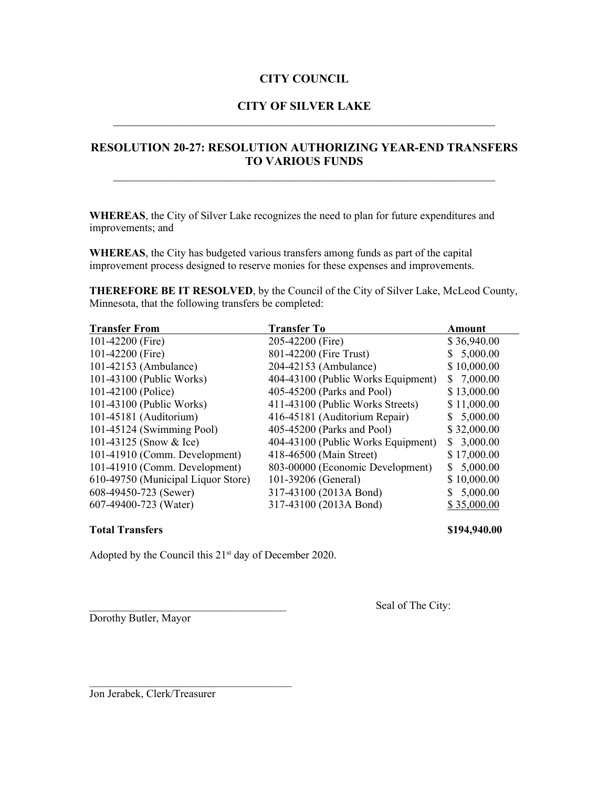### **CITY OF SILVER LAKE** \_\_\_\_\_\_\_\_\_\_\_\_\_\_\_\_\_\_\_\_\_\_\_\_\_\_\_\_\_\_\_\_\_\_\_\_\_\_\_\_\_\_\_\_\_\_\_\_\_\_\_\_\_\_\_\_\_\_\_\_\_\_\_\_

### **RESOLUTION 20-27: RESOLUTION AUTHORIZING YEAR-END TRANSFERS TO VARIOUS FUNDS**

**WHEREAS**, the City of Silver Lake recognizes the need to plan for future expenditures and improvements; and

**WHEREAS**, the City has budgeted various transfers among funds as part of the capital improvement process designed to reserve monies for these expenses and improvements.

**THEREFORE BE IT RESOLVED**, by the Council of the City of Silver Lake, McLeod County, Minnesota, that the following transfers be completed:

| <b>Transfer From</b>               | <b>Transfer To</b>                 | <b>Amount</b>  |
|------------------------------------|------------------------------------|----------------|
| 101-42200 (Fire)                   | 205-42200 (Fire)                   | \$36,940.00    |
| 101-42200 (Fire)                   | 801-42200 (Fire Trust)             | \$5,000.00     |
| 101-42153 (Ambulance)              | 204-42153 (Ambulance)              | \$10,000.00    |
| 101-43100 (Public Works)           | 404-43100 (Public Works Equipment) | \$7,000.00     |
| 101-42100 (Police)                 | 405-45200 (Parks and Pool)         | \$13,000.00    |
| 101-43100 (Public Works)           | 411-43100 (Public Works Streets)   | \$11,000.00    |
| 101-45181 (Auditorium)             | 416-45181 (Auditorium Repair)      | \$5,000.00     |
| 101-45124 (Swimming Pool)          | 405-45200 (Parks and Pool)         | \$32,000.00    |
| 101-43125 (Snow & Ice)             | 404-43100 (Public Works Equipment) | 3,000.00<br>S. |
| 101-41910 (Comm. Development)      | 418-46500 (Main Street)            | \$17,000.00    |
| 101-41910 (Comm. Development)      | 803-00000 (Economic Development)   | 5,000.00<br>S. |
| 610-49750 (Municipal Liquor Store) | 101-39206 (General)                | \$10,000.00    |
| 608-49450-723 (Sewer)              | 317-43100 (2013A Bond)             | 5,000.00       |
| 607-49400-723 (Water)              | 317-43100 (2013A Bond)             | \$35,000.00    |

#### **Total Transfers \$194,940.00**

Adopted by the Council this 21<sup>st</sup> day of December 2020.

Dorothy Butler, Mayor

Seal of The City:

Jon Jerabek, Clerk/Treasurer

 $\mathcal{L}_\text{max}$  , where  $\mathcal{L}_\text{max}$  , we are the set of the set of the set of the set of the set of the set of the set of the set of the set of the set of the set of the set of the set of the set of the set of the set of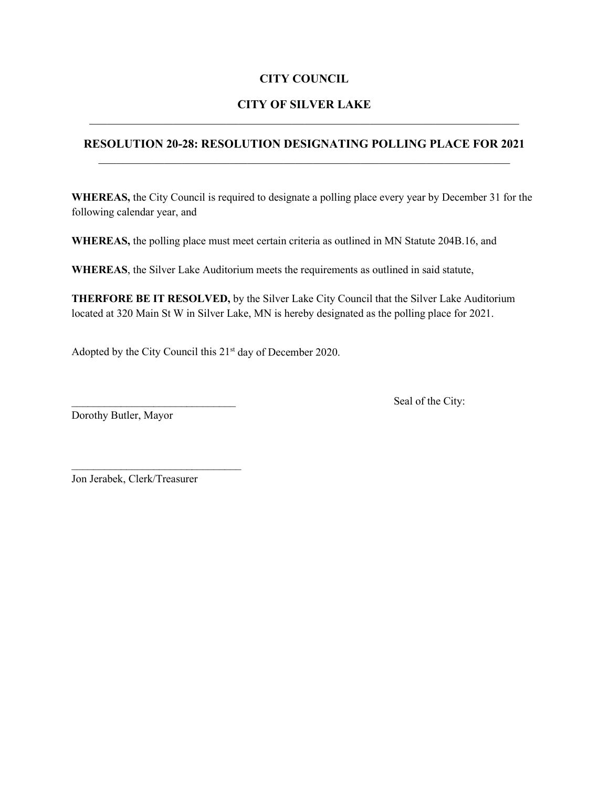# **CITY OF SILVER LAKE**

### **RESOLUTION 20-28: RESOLUTION DESIGNATING POLLING PLACE FOR 2021**

**WHEREAS,** the City Council is required to designate a polling place every year by December 31 for the following calendar year, and

**WHEREAS,** the polling place must meet certain criteria as outlined in MN Statute 204B.16, and

**WHEREAS**, the Silver Lake Auditorium meets the requirements as outlined in said statute,

**THERFORE BE IT RESOLVED,** by the Silver Lake City Council that the Silver Lake Auditorium located at 320 Main St W in Silver Lake, MN is hereby designated as the polling place for 2021.

Adopted by the City Council this 21<sup>st</sup> day of December 2020.

Dorothy Butler, Mayor

Seal of the City:

Jon Jerabek, Clerk/Treasurer

 $\mathcal{L}_\text{max}$  , where  $\mathcal{L}_\text{max}$  and  $\mathcal{L}_\text{max}$  and  $\mathcal{L}_\text{max}$